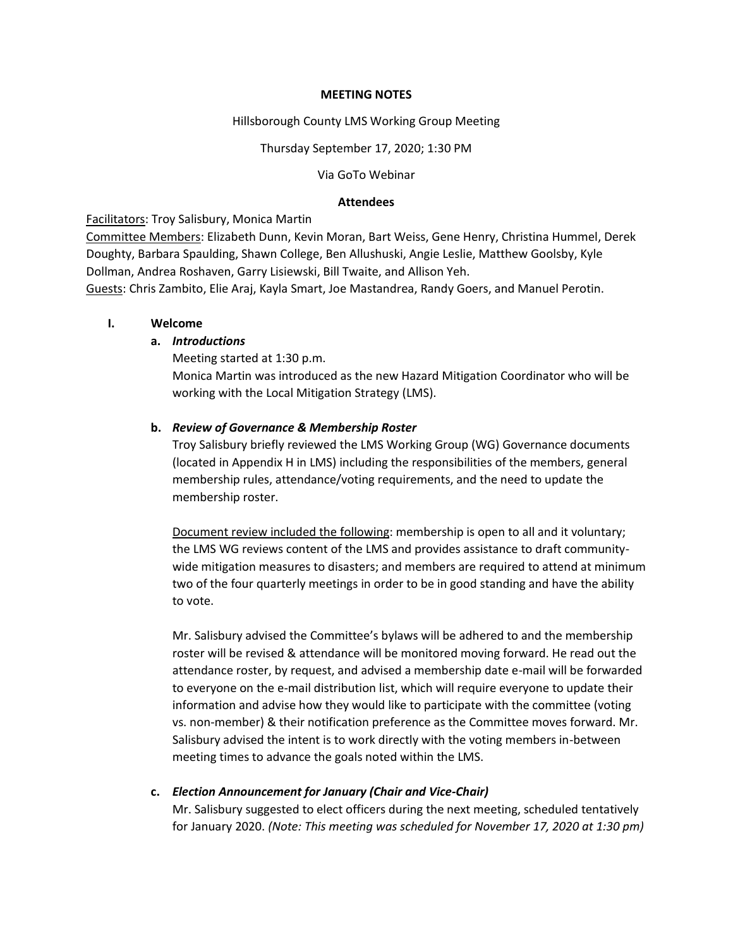#### **MEETING NOTES**

#### Hillsborough County LMS Working Group Meeting

#### Thursday September 17, 2020; 1:30 PM

#### Via GoTo Webinar

#### **Attendees**

### Facilitators: Troy Salisbury, Monica Martin

Committee Members: Elizabeth Dunn, Kevin Moran, Bart Weiss, Gene Henry, Christina Hummel, Derek Doughty, Barbara Spaulding, Shawn College, Ben Allushuski, Angie Leslie, Matthew Goolsby, Kyle Dollman, Andrea Roshaven, Garry Lisiewski, Bill Twaite, and Allison Yeh.

Guests: Chris Zambito, Elie Araj, Kayla Smart, Joe Mastandrea, Randy Goers, and Manuel Perotin.

### **I. Welcome**

### **a.** *Introductions*

Meeting started at 1:30 p.m.

Monica Martin was introduced as the new Hazard Mitigation Coordinator who will be working with the Local Mitigation Strategy (LMS).

### **b.** *Review of Governance & Membership Roster*

Troy Salisbury briefly reviewed the LMS Working Group (WG) Governance documents (located in Appendix H in LMS) including the responsibilities of the members, general membership rules, attendance/voting requirements, and the need to update the membership roster.

Document review included the following: membership is open to all and it voluntary; the LMS WG reviews content of the LMS and provides assistance to draft communitywide mitigation measures to disasters; and members are required to attend at minimum two of the four quarterly meetings in order to be in good standing and have the ability to vote.

Mr. Salisbury advised the Committee's bylaws will be adhered to and the membership roster will be revised & attendance will be monitored moving forward. He read out the attendance roster, by request, and advised a membership date e-mail will be forwarded to everyone on the e-mail distribution list, which will require everyone to update their information and advise how they would like to participate with the committee (voting vs. non-member) & their notification preference as the Committee moves forward. Mr. Salisbury advised the intent is to work directly with the voting members in-between meeting times to advance the goals noted within the LMS.

### **c.** *Election Announcement for January (Chair and Vice-Chair)*

Mr. Salisbury suggested to elect officers during the next meeting, scheduled tentatively for January 2020. *(Note: This meeting was scheduled for November 17, 2020 at 1:30 pm)*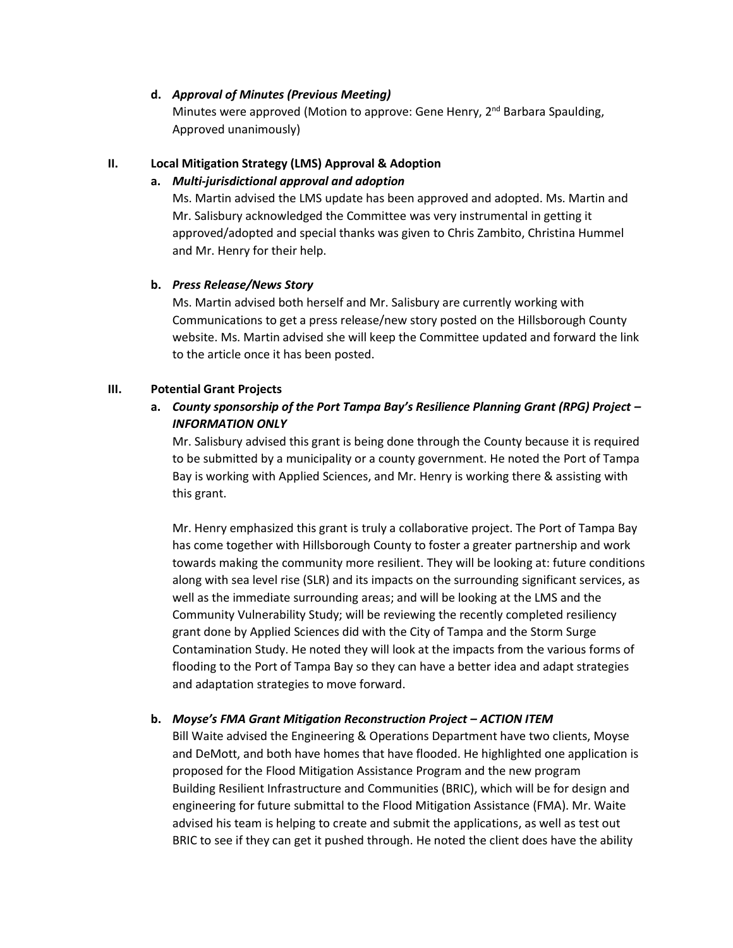### **d.** *Approval of Minutes (Previous Meeting)*

Minutes were approved (Motion to approve: Gene Henry, 2<sup>nd</sup> Barbara Spaulding, Approved unanimously)

# **II. Local Mitigation Strategy (LMS) Approval & Adoption**

# **a.** *Multi-jurisdictional approval and adoption*

Ms. Martin advised the LMS update has been approved and adopted. Ms. Martin and Mr. Salisbury acknowledged the Committee was very instrumental in getting it approved/adopted and special thanks was given to Chris Zambito, Christina Hummel and Mr. Henry for their help.

### **b.** *Press Release/News Story*

Ms. Martin advised both herself and Mr. Salisbury are currently working with Communications to get a press release/new story posted on the Hillsborough County website. Ms. Martin advised she will keep the Committee updated and forward the link to the article once it has been posted.

### **III. Potential Grant Projects**

# **a.** *County sponsorship of the Port Tampa Bay's Resilience Planning Grant (RPG) Project – INFORMATION ONLY*

Mr. Salisbury advised this grant is being done through the County because it is required to be submitted by a municipality or a county government. He noted the Port of Tampa Bay is working with Applied Sciences, and Mr. Henry is working there & assisting with this grant.

Mr. Henry emphasized this grant is truly a collaborative project. The Port of Tampa Bay has come together with Hillsborough County to foster a greater partnership and work towards making the community more resilient. They will be looking at: future conditions along with sea level rise (SLR) and its impacts on the surrounding significant services, as well as the immediate surrounding areas; and will be looking at the LMS and the Community Vulnerability Study; will be reviewing the recently completed resiliency grant done by Applied Sciences did with the City of Tampa and the Storm Surge Contamination Study. He noted they will look at the impacts from the various forms of flooding to the Port of Tampa Bay so they can have a better idea and adapt strategies and adaptation strategies to move forward.

# **b.** *Moyse's FMA Grant Mitigation Reconstruction Project – ACTION ITEM*

Bill Waite advised the Engineering & Operations Department have two clients, Moyse and DeMott, and both have homes that have flooded. He highlighted one application is proposed for the Flood Mitigation Assistance Program and the new program Building Resilient Infrastructure and Communities (BRIC), which will be for design and engineering for future submittal to the Flood Mitigation Assistance (FMA). Mr. Waite advised his team is helping to create and submit the applications, as well as test out BRIC to see if they can get it pushed through. He noted the client does have the ability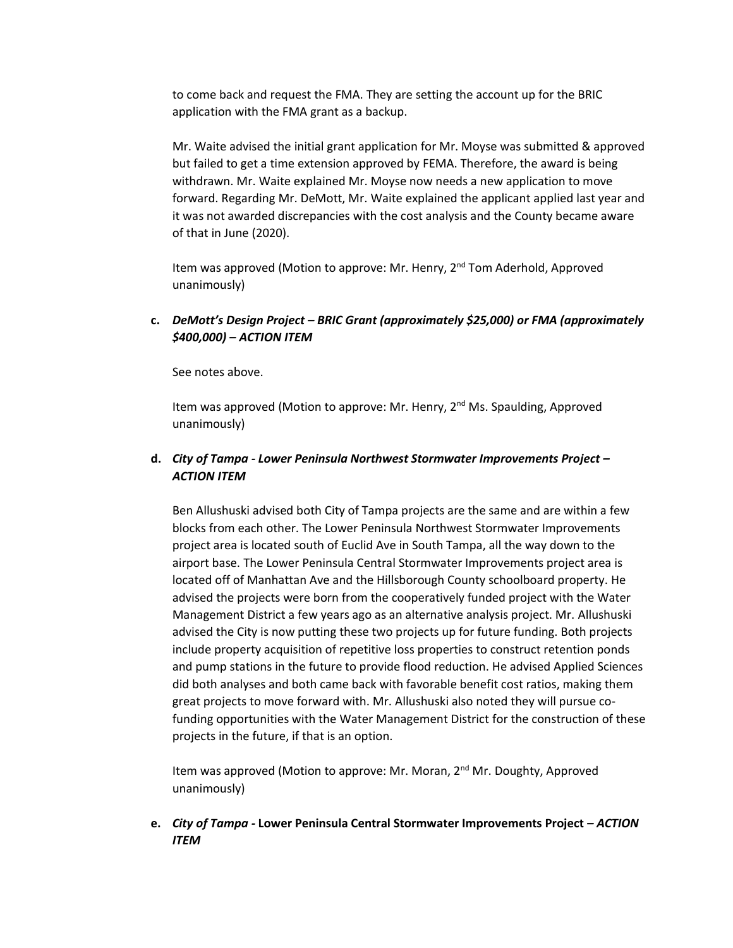to come back and request the FMA. They are setting the account up for the BRIC application with the FMA grant as a backup.

Mr. Waite advised the initial grant application for Mr. Moyse was submitted & approved but failed to get a time extension approved by FEMA. Therefore, the award is being withdrawn. Mr. Waite explained Mr. Moyse now needs a new application to move forward. Regarding Mr. DeMott, Mr. Waite explained the applicant applied last year and it was not awarded discrepancies with the cost analysis and the County became aware of that in June (2020).

Item was approved (Motion to approve: Mr. Henry, 2<sup>nd</sup> Tom Aderhold, Approved unanimously)

# **c.** *DeMott's Design Project – BRIC Grant (approximately \$25,000) or FMA (approximately \$400,000) – ACTION ITEM*

See notes above.

Item was approved (Motion to approve: Mr. Henry,  $2<sup>nd</sup>$  Ms. Spaulding, Approved unanimously)

# **d.** *City of Tampa - Lower Peninsula Northwest Stormwater Improvements Project – ACTION ITEM*

Ben Allushuski advised both City of Tampa projects are the same and are within a few blocks from each other. The Lower Peninsula Northwest Stormwater Improvements project area is located south of Euclid Ave in South Tampa, all the way down to the airport base. The Lower Peninsula Central Stormwater Improvements project area is located off of Manhattan Ave and the Hillsborough County schoolboard property. He advised the projects were born from the cooperatively funded project with the Water Management District a few years ago as an alternative analysis project. Mr. Allushuski advised the City is now putting these two projects up for future funding. Both projects include property acquisition of repetitive loss properties to construct retention ponds and pump stations in the future to provide flood reduction. He advised Applied Sciences did both analyses and both came back with favorable benefit cost ratios, making them great projects to move forward with. Mr. Allushuski also noted they will pursue cofunding opportunities with the Water Management District for the construction of these projects in the future, if that is an option.

Item was approved (Motion to approve: Mr. Moran, 2<sup>nd</sup> Mr. Doughty, Approved unanimously)

**e.** *City of Tampa -* **Lower Peninsula Central Stormwater Improvements Project** *– ACTION ITEM*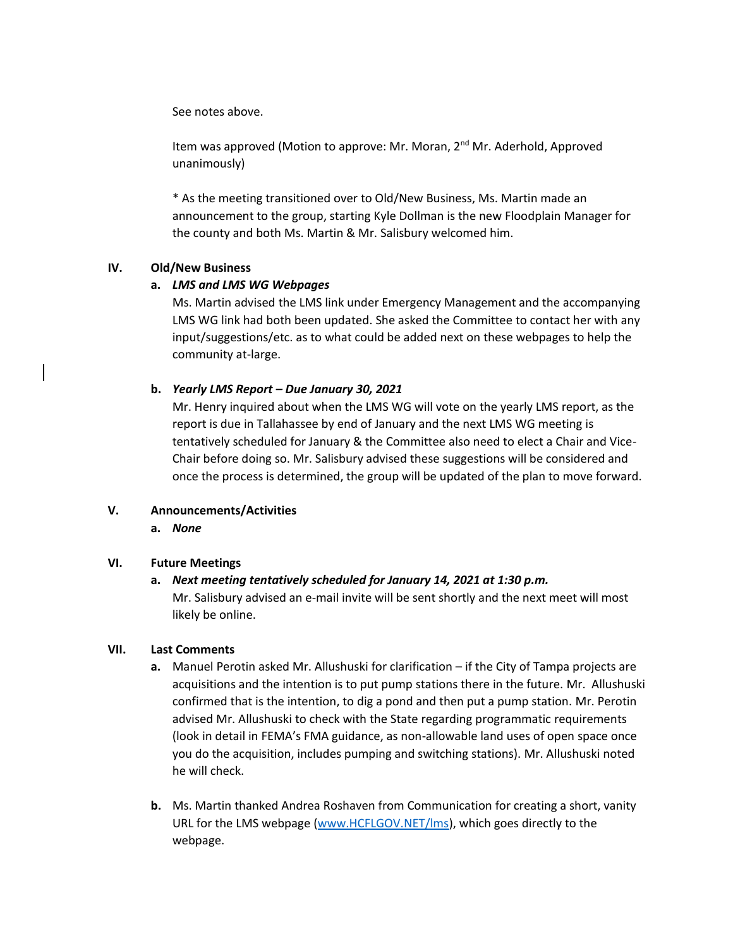See notes above.

Item was approved (Motion to approve: Mr. Moran, 2<sup>nd</sup> Mr. Aderhold, Approved unanimously)

\* As the meeting transitioned over to Old/New Business, Ms. Martin made an announcement to the group, starting Kyle Dollman is the new Floodplain Manager for the county and both Ms. Martin & Mr. Salisbury welcomed him.

### **IV. Old/New Business**

### **a.** *LMS and LMS WG Webpages*

Ms. Martin advised the LMS link under Emergency Management and the accompanying LMS WG link had both been updated. She asked the Committee to contact her with any input/suggestions/etc. as to what could be added next on these webpages to help the community at-large.

### **b.** *Yearly LMS Report – Due January 30, 2021*

Mr. Henry inquired about when the LMS WG will vote on the yearly LMS report, as the report is due in Tallahassee by end of January and the next LMS WG meeting is tentatively scheduled for January & the Committee also need to elect a Chair and Vice-Chair before doing so. Mr. Salisbury advised these suggestions will be considered and once the process is determined, the group will be updated of the plan to move forward.

### **V. Announcements/Activities**

**a.** *None*

### **VI. Future Meetings**

# **a.** *Next meeting tentatively scheduled for January 14, 2021 at 1:30 p.m.* Mr. Salisbury advised an e-mail invite will be sent shortly and the next meet will most likely be online.

### **VII. Last Comments**

- **a.** Manuel Perotin asked Mr. Allushuski for clarification if the City of Tampa projects are acquisitions and the intention is to put pump stations there in the future. Mr. Allushuski confirmed that is the intention, to dig a pond and then put a pump station. Mr. Perotin advised Mr. Allushuski to check with the State regarding programmatic requirements (look in detail in FEMA's FMA guidance, as non-allowable land uses of open space once you do the acquisition, includes pumping and switching stations). Mr. Allushuski noted he will check.
- **b.** Ms. Martin thanked Andrea Roshaven from Communication for creating a short, vanity URL for the LMS webpage [\(www.HCFLGOV.NET/lms\)](http://www.hcflgov.net/lms), which goes directly to the webpage.